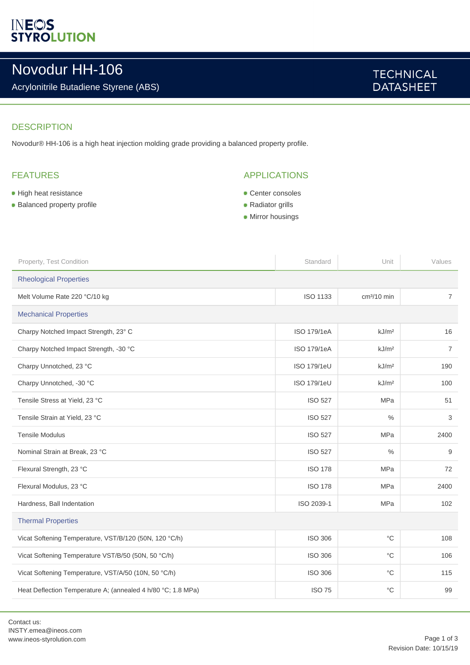# **INEOS**<br>STYROLUTION

## Novodur HH-106

### Acrylonitrile Butadiene Styrene (ABS)

### **TECHNICAL DATASHEET**

### **DESCRIPTION**

Novodur® HH-106 is a high heat injection molding grade providing a balanced property profile.

### FEATURES

- **High heat resistance**
- **Balanced property profile**

### APPLICATIONS

- **Center consoles**
- Radiator grills
- **Mirror housings**

| Property, Test Condition                                     | Standard           | Unit                    | Values         |  |
|--------------------------------------------------------------|--------------------|-------------------------|----------------|--|
| <b>Rheological Properties</b>                                |                    |                         |                |  |
| Melt Volume Rate 220 °C/10 kg                                | <b>ISO 1133</b>    | cm <sup>3</sup> /10 min | $\overline{7}$ |  |
| <b>Mechanical Properties</b>                                 |                    |                         |                |  |
| Charpy Notched Impact Strength, 23° C                        | ISO 179/1eA        | kJ/m <sup>2</sup>       | 16             |  |
| Charpy Notched Impact Strength, -30 °C                       | <b>ISO 179/1eA</b> | kJ/m <sup>2</sup>       | $\overline{7}$ |  |
| Charpy Unnotched, 23 °C                                      | ISO 179/1eU        | kJ/m <sup>2</sup>       | 190            |  |
| Charpy Unnotched, -30 °C                                     | <b>ISO 179/1eU</b> | kJ/m <sup>2</sup>       | 100            |  |
| Tensile Stress at Yield, 23 °C                               | <b>ISO 527</b>     | <b>MPa</b>              | 51             |  |
| Tensile Strain at Yield, 23 °C                               | <b>ISO 527</b>     | $\%$                    | 3              |  |
| <b>Tensile Modulus</b>                                       | <b>ISO 527</b>     | <b>MPa</b>              | 2400           |  |
| Nominal Strain at Break, 23 °C                               | <b>ISO 527</b>     | $\frac{0}{0}$           | 9              |  |
| Flexural Strength, 23 °C                                     | <b>ISO 178</b>     | <b>MPa</b>              | 72             |  |
| Flexural Modulus, 23 °C                                      | <b>ISO 178</b>     | <b>MPa</b>              | 2400           |  |
| Hardness, Ball Indentation                                   | ISO 2039-1         | <b>MPa</b>              | 102            |  |
| <b>Thermal Properties</b>                                    |                    |                         |                |  |
| Vicat Softening Temperature, VST/B/120 (50N, 120 °C/h)       | <b>ISO 306</b>     | $^{\circ}C$             | 108            |  |
| Vicat Softening Temperature VST/B/50 (50N, 50 °C/h)          | <b>ISO 306</b>     | $^{\circ}C$             | 106            |  |
| Vicat Softening Temperature, VST/A/50 (10N, 50 °C/h)         | <b>ISO 306</b>     | $^{\circ}{\rm C}$       | 115            |  |
| Heat Deflection Temperature A; (annealed 4 h/80 °C; 1.8 MPa) | <b>ISO 75</b>      | $^{\circ}$ C            | 99             |  |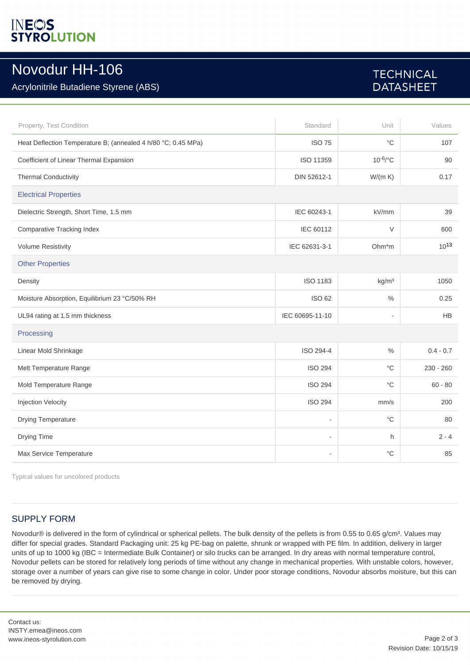# **INEOS**<br>STYROLUTION

### Novodur HH-106

### Acrylonitrile Butadiene Styrene (ABS)

### **TECHNICAL DATASHEET**

| Property, Test Condition                                      | Standard                 | Unit                     | Values      |  |
|---------------------------------------------------------------|--------------------------|--------------------------|-------------|--|
| Heat Deflection Temperature B; (annealed 4 h/80 °C; 0.45 MPa) | <b>ISO 75</b>            | $^{\circ}C$              | 107         |  |
| Coefficient of Linear Thermal Expansion                       | ISO 11359                | $10^{-6/°}C$             | 90          |  |
| <b>Thermal Conductivity</b>                                   | DIN 52612-1              | W/(m K)                  | 0.17        |  |
| <b>Electrical Properties</b>                                  |                          |                          |             |  |
| Dielectric Strength, Short Time, 1.5 mm                       | IEC 60243-1              | kV/mm                    | 39          |  |
| <b>Comparative Tracking Index</b>                             | IEC 60112                | $\vee$                   | 600         |  |
| <b>Volume Resistivity</b>                                     | IEC 62631-3-1            | Ohm*m                    | $10^{13}$   |  |
| <b>Other Properties</b>                                       |                          |                          |             |  |
| Density                                                       | <b>ISO 1183</b>          | kg/m <sup>3</sup>        | 1050        |  |
| Moisture Absorption, Equilibrium 23 °C/50% RH                 | <b>ISO 62</b>            | $\%$                     | 0.25        |  |
| UL94 rating at 1.5 mm thickness                               | IEC 60695-11-10          | $\overline{\phantom{a}}$ | <b>HB</b>   |  |
| Processing                                                    |                          |                          |             |  |
| Linear Mold Shrinkage                                         | ISO 294-4                | $\%$                     | $0.4 - 0.7$ |  |
| Melt Temperature Range                                        | <b>ISO 294</b>           | $^{\circ}$ C             | $230 - 260$ |  |
| Mold Temperature Range                                        | <b>ISO 294</b>           | $^{\circ}C$              | $60 - 80$   |  |
| Injection Velocity                                            | <b>ISO 294</b>           | mm/s                     | 200         |  |
| Drying Temperature                                            | $\overline{\phantom{a}}$ | $^{\circ}{\rm C}$        | 80          |  |
| Drying Time                                                   | $\overline{\phantom{a}}$ | h.                       | $2 - 4$     |  |
| Max Service Temperature                                       | $\overline{a}$           | $^{\circ}C$              | 85          |  |

Typical values for uncolored products

#### SUPPLY FORM

Novodur® is delivered in the form of cylindrical or spherical pellets. The bulk density of the pellets is from 0.55 to 0.65 g/cm<sup>3</sup>. Values may differ for special grades. Standard Packaging unit: 25 kg PE-bag on palette, shrunk or wrapped with PE film. In addition, delivery in larger units of up to 1000 kg (IBC = Intermediate Bulk Container) or silo trucks can be arranged. In dry areas with normal temperature control, Novodur pellets can be stored for relatively long periods of time without any change in mechanical properties. With unstable colors, however, storage over a number of years can give rise to some change in color. Under poor storage conditions, Novodur absorbs moisture, but this can be removed by drying.